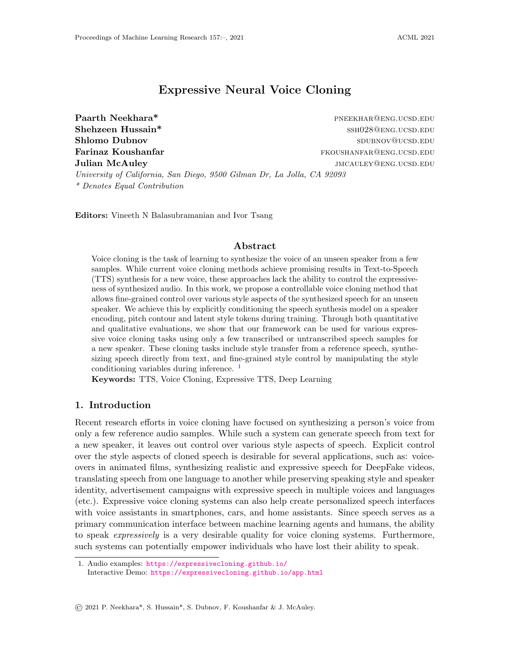# Expressive Neural Voice Cloning

University of California, San Diego, 9500 Gilman Dr, La Jolla, CA 92093

\* Denotes Equal Contribution

Paarth Neekhara\* **paarth Neekhara**\* **paarth Neekhara**\* paarth PNEEKHAR@ENG.ucsd.edu Shehzeen Hussain\* sshootsd.edu/state state state state state state state state state state state state state state state state state state state state state state state state state state state state state state state state Shlomo Dubnov sous-control of the state of the state service supervolution supervolution supervolution supervolution supervolution supervolution supervolution supervolution supervolution supervolution supervolution supervo Farinaz Koushanfar fkoushanfar fkoushangang.ucsd.edu **Julian McAuley image of the control of the control of the control of the control of the control of the control of the control of the control of the control of the control of the control of the control of the control of th** 

Editors: Vineeth N Balasubramanian and Ivor Tsang

## Abstract

Voice cloning is the task of learning to synthesize the voice of an unseen speaker from a few samples. While current voice cloning methods achieve promising results in Text-to-Speech (TTS) synthesis for a new voice, these approaches lack the ability to control the expressiveness of synthesized audio. In this work, we propose a controllable voice cloning method that allows fine-grained control over various style aspects of the synthesized speech for an unseen speaker. We achieve this by explicitly conditioning the speech synthesis model on a speaker encoding, pitch contour and latent style tokens during training. Through both quantitative and qualitative evaluations, we show that our framework can be used for various expressive voice cloning tasks using only a few transcribed or untranscribed speech samples for a new speaker. These cloning tasks include style transfer from a reference speech, synthesizing speech directly from text, and fine-grained style control by manipulating the style conditioning variables during inference.  $\frac{1}{2}$  $\frac{1}{2}$  $\frac{1}{2}$ 

Keywords: TTS, Voice Cloning, Expressive TTS, Deep Learning

# 1. Introduction

Recent research efforts in voice cloning have focused on synthesizing a person's voice from only a few reference audio samples. While such a system can generate speech from text for a new speaker, it leaves out control over various style aspects of speech. Explicit control over the style aspects of cloned speech is desirable for several applications, such as: voiceovers in animated films, synthesizing realistic and expressive speech for DeepFake videos, translating speech from one language to another while preserving speaking style and speaker identity, advertisement campaigns with expressive speech in multiple voices and languages (etc.). Expressive voice cloning systems can also help create personalized speech interfaces with voice assistants in smartphones, cars, and home assistants. Since speech serves as a primary communication interface between machine learning agents and humans, the ability to speak expressively is a very desirable quality for voice cloning systems. Furthermore, such systems can potentially empower individuals who have lost their ability to speak.

<span id="page-0-0"></span><sup>1.</sup> Audio examples: <https://expressivecloning.github.io/> Interactive Demo: <https://expressivecloning.github.io/app.html>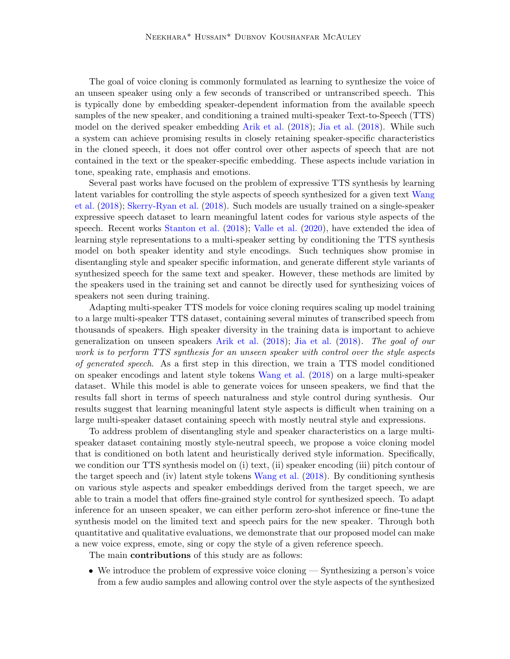The goal of voice cloning is commonly formulated as learning to synthesize the voice of an unseen speaker using only a few seconds of transcribed or untranscribed speech. This is typically done by embedding speaker-dependent information from the available speech samples of the new speaker, and conditioning a trained multi-speaker Text-to-Speech (TTS) model on the derived speaker embedding [Arik et al.](#page-13-0) [\(2018\)](#page-13-0); [Jia et al.](#page-13-1) [\(2018\)](#page-13-1). While such a system can achieve promising results in closely retaining speaker-specific characteristics in the cloned speech, it does not offer control over other aspects of speech that are not contained in the text or the speaker-specific embedding. These aspects include variation in tone, speaking rate, emphasis and emotions.

Several past works have focused on the problem of expressive TTS synthesis by learning latent variables for controlling the style aspects of speech synthesized for a given text [Wang](#page-15-0) [et al.](#page-15-0) [\(2018\)](#page-15-0); [Skerry-Ryan et al.](#page-14-0) [\(2018\)](#page-14-0). Such models are usually trained on a single-speaker expressive speech dataset to learn meaningful latent codes for various style aspects of the speech. Recent works [Stanton et al.](#page-14-1) [\(2018\)](#page-14-1); [Valle et al.](#page-14-2) [\(2020\)](#page-14-2), have extended the idea of learning style representations to a multi-speaker setting by conditioning the TTS synthesis model on both speaker identity and style encodings. Such techniques show promise in disentangling style and speaker specific information, and generate different style variants of synthesized speech for the same text and speaker. However, these methods are limited by the speakers used in the training set and cannot be directly used for synthesizing voices of speakers not seen during training.

Adapting multi-speaker TTS models for voice cloning requires scaling up model training to a large multi-speaker TTS dataset, containing several minutes of transcribed speech from thousands of speakers. High speaker diversity in the training data is important to achieve generalization on unseen speakers [Arik et al.](#page-13-0) [\(2018\)](#page-13-0); [Jia et al.](#page-13-1) [\(2018\)](#page-13-1). The goal of our work is to perform TTS synthesis for an unseen speaker with control over the style aspects of generated speech. As a first step in this direction, we train a TTS model conditioned on speaker encodings and latent style tokens [Wang et al.](#page-15-0) [\(2018\)](#page-15-0) on a large multi-speaker dataset. While this model is able to generate voices for unseen speakers, we find that the results fall short in terms of speech naturalness and style control during synthesis. Our results suggest that learning meaningful latent style aspects is difficult when training on a large multi-speaker dataset containing speech with mostly neutral style and expressions.

To address problem of disentangling style and speaker characteristics on a large multispeaker dataset containing mostly style-neutral speech, we propose a voice cloning model that is conditioned on both latent and heuristically derived style information. Specifically, we condition our TTS synthesis model on (i) text, (ii) speaker encoding (iii) pitch contour of the target speech and (iv) latent style tokens [Wang et al.](#page-15-0) [\(2018\)](#page-15-0). By conditioning synthesis on various style aspects and speaker embeddings derived from the target speech, we are able to train a model that offers fine-grained style control for synthesized speech. To adapt inference for an unseen speaker, we can either perform zero-shot inference or fine-tune the synthesis model on the limited text and speech pairs for the new speaker. Through both quantitative and qualitative evaluations, we demonstrate that our proposed model can make a new voice express, emote, sing or copy the style of a given reference speech.

The main **contributions** of this study are as follows:

• We introduce the problem of expressive voice cloning — Synthesizing a person's voice from a few audio samples and allowing control over the style aspects of the synthesized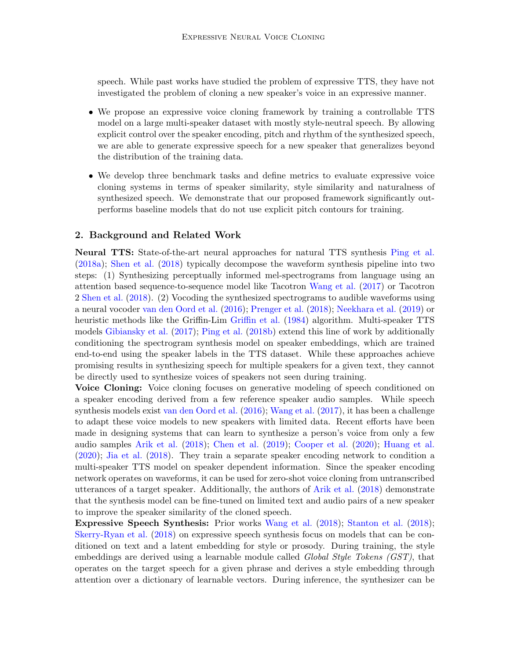speech. While past works have studied the problem of expressive TTS, they have not investigated the problem of cloning a new speaker's voice in an expressive manner.

- We propose an expressive voice cloning framework by training a controllable TTS model on a large multi-speaker dataset with mostly style-neutral speech. By allowing explicit control over the speaker encoding, pitch and rhythm of the synthesized speech, we are able to generate expressive speech for a new speaker that generalizes beyond the distribution of the training data.
- We develop three benchmark tasks and define metrics to evaluate expressive voice cloning systems in terms of speaker similarity, style similarity and naturalness of synthesized speech. We demonstrate that our proposed framework significantly outperforms baseline models that do not use explicit pitch contours for training.

# 2. Background and Related Work

Neural TTS: State-of-the-art neural approaches for natural TTS synthesis [Ping et al.](#page-14-3) [\(2018a\)](#page-14-3); [Shen et al.](#page-14-4) [\(2018\)](#page-14-4) typically decompose the waveform synthesis pipeline into two steps: (1) Synthesizing perceptually informed mel-spectrograms from language using an attention based sequence-to-sequence model like Tacotron [Wang et al.](#page-15-1) [\(2017\)](#page-15-1) or Tacotron 2 [Shen et al.](#page-14-4) [\(2018\)](#page-14-4). (2) Vocoding the synthesized spectrograms to audible waveforms using a neural vocoder [van den Oord et al.](#page-14-5) [\(2016\)](#page-14-5); [Prenger et al.](#page-14-6) [\(2018\)](#page-14-6); [Neekhara et al.](#page-14-7) [\(2019\)](#page-14-7) or heuristic methods like the Griffin-Lim [Griffin et al.](#page-13-2) [\(1984\)](#page-13-2) algorithm. Multi-speaker TTS models [Gibiansky et al.](#page-13-3) [\(2017\)](#page-13-3); [Ping et al.](#page-14-8) [\(2018b\)](#page-14-8) extend this line of work by additionally conditioning the spectrogram synthesis model on speaker embeddings, which are trained end-to-end using the speaker labels in the TTS dataset. While these approaches achieve promising results in synthesizing speech for multiple speakers for a given text, they cannot be directly used to synthesize voices of speakers not seen during training.

Voice Cloning: Voice cloning focuses on generative modeling of speech conditioned on a speaker encoding derived from a few reference speaker audio samples. While speech synthesis models exist [van den Oord et al.](#page-14-5) [\(2016\)](#page-14-5); [Wang et al.](#page-15-1) [\(2017\)](#page-15-1), it has been a challenge to adapt these voice models to new speakers with limited data. Recent efforts have been made in designing systems that can learn to synthesize a person's voice from only a few audio samples [Arik et al.](#page-13-0) [\(2018\)](#page-13-0); [Chen et al.](#page-13-4) [\(2019\)](#page-13-4); [Cooper et al.](#page-13-5) [\(2020\)](#page-13-5); [Huang et al.](#page-13-6) [\(2020\)](#page-13-6); [Jia et al.](#page-13-1) [\(2018\)](#page-13-1). They train a separate speaker encoding network to condition a multi-speaker TTS model on speaker dependent information. Since the speaker encoding network operates on waveforms, it can be used for zero-shot voice cloning from untranscribed utterances of a target speaker. Additionally, the authors of [Arik et al.](#page-13-0) [\(2018\)](#page-13-0) demonstrate that the synthesis model can be fine-tuned on limited text and audio pairs of a new speaker to improve the speaker similarity of the cloned speech.

Expressive Speech Synthesis: Prior works [Wang et al.](#page-15-0) [\(2018\)](#page-15-0); [Stanton et al.](#page-14-1) [\(2018\)](#page-14-1); [Skerry-Ryan et al.](#page-14-0) [\(2018\)](#page-14-0) on expressive speech synthesis focus on models that can be conditioned on text and a latent embedding for style or prosody. During training, the style embeddings are derived using a learnable module called Global Style Tokens (GST), that operates on the target speech for a given phrase and derives a style embedding through attention over a dictionary of learnable vectors. During inference, the synthesizer can be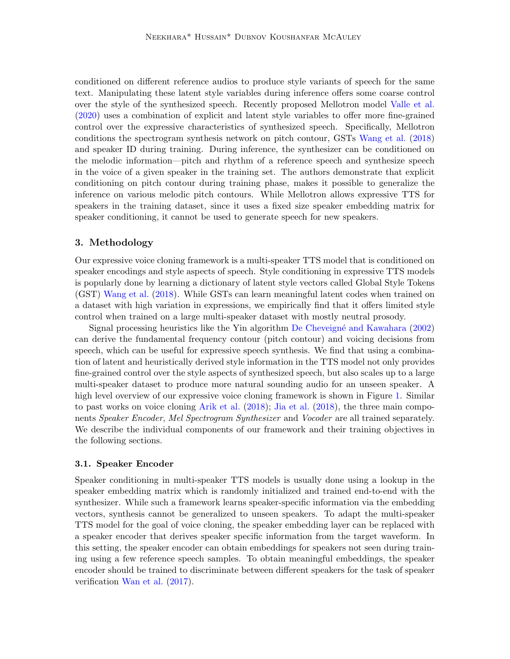conditioned on different reference audios to produce style variants of speech for the same text. Manipulating these latent style variables during inference offers some coarse control over the style of the synthesized speech. Recently proposed Mellotron model [Valle et al.](#page-14-2) [\(2020\)](#page-14-2) uses a combination of explicit and latent style variables to offer more fine-grained control over the expressive characteristics of synthesized speech. Specifically, Mellotron conditions the spectrogram synthesis network on pitch contour, GSTs [Wang et al.](#page-15-0) [\(2018\)](#page-15-0) and speaker ID during training. During inference, the synthesizer can be conditioned on the melodic information—pitch and rhythm of a reference speech and synthesize speech in the voice of a given speaker in the training set. The authors demonstrate that explicit conditioning on pitch contour during training phase, makes it possible to generalize the inference on various melodic pitch contours. While Mellotron allows expressive TTS for speakers in the training dataset, since it uses a fixed size speaker embedding matrix for speaker conditioning, it cannot be used to generate speech for new speakers.

## 3. Methodology

Our expressive voice cloning framework is a multi-speaker TTS model that is conditioned on speaker encodings and style aspects of speech. Style conditioning in expressive TTS models is popularly done by learning a dictionary of latent style vectors called Global Style Tokens (GST) [Wang et al.](#page-15-0) [\(2018\)](#page-15-0). While GSTs can learn meaningful latent codes when trained on a dataset with high variation in expressions, we empirically find that it offers limited style control when trained on a large multi-speaker dataset with mostly neutral prosody.

Signal processing heuristics like the Yin algorithm [De Cheveign´e and Kawahara](#page-13-7) [\(2002\)](#page-13-7) can derive the fundamental frequency contour (pitch contour) and voicing decisions from speech, which can be useful for expressive speech synthesis. We find that using a combination of latent and heuristically derived style information in the TTS model not only provides fine-grained control over the style aspects of synthesized speech, but also scales up to a large multi-speaker dataset to produce more natural sounding audio for an unseen speaker. A high level overview of our expressive voice cloning framework is shown in Figure [1.](#page-4-0) Similar to past works on voice cloning [Arik et al.](#page-13-0) [\(2018\)](#page-13-0); [Jia et al.](#page-13-1) [\(2018\)](#page-13-1), the three main components Speaker Encoder, Mel Spectrogram Synthesizer and Vocoder are all trained separately. We describe the individual components of our framework and their training objectives in the following sections.

#### <span id="page-3-0"></span>3.1. Speaker Encoder

Speaker conditioning in multi-speaker TTS models is usually done using a lookup in the speaker embedding matrix which is randomly initialized and trained end-to-end with the synthesizer. While such a framework learns speaker-specific information via the embedding vectors, synthesis cannot be generalized to unseen speakers. To adapt the multi-speaker TTS model for the goal of voice cloning, the speaker embedding layer can be replaced with a speaker encoder that derives speaker specific information from the target waveform. In this setting, the speaker encoder can obtain embeddings for speakers not seen during training using a few reference speech samples. To obtain meaningful embeddings, the speaker encoder should be trained to discriminate between different speakers for the task of speaker verification [Wan et al.](#page-14-9) [\(2017\)](#page-14-9).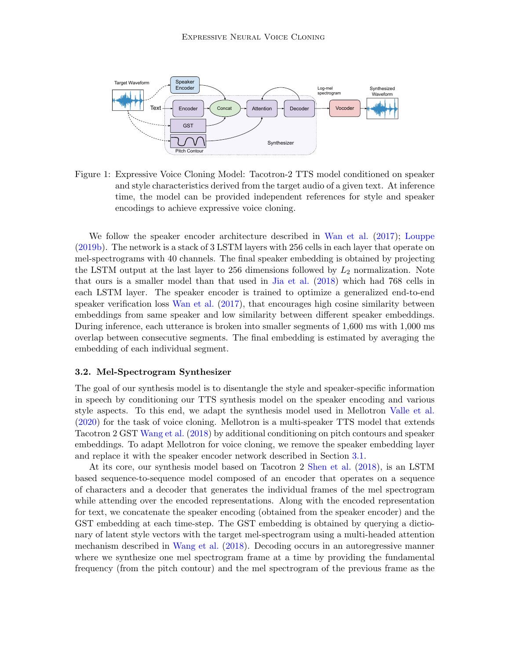

<span id="page-4-0"></span>Figure 1: Expressive Voice Cloning Model: Tacotron-2 TTS model conditioned on speaker and style characteristics derived from the target audio of a given text. At inference time, the model can be provided independent references for style and speaker encodings to achieve expressive voice cloning.

We follow the speaker encoder architecture described in [Wan et al.](#page-14-9) [\(2017\)](#page-14-9); [Louppe](#page-14-10) [\(2019b\)](#page-14-10). The network is a stack of 3 LSTM layers with 256 cells in each layer that operate on mel-spectrograms with 40 channels. The final speaker embedding is obtained by projecting the LSTM output at the last layer to 256 dimensions followed by  $L_2$  normalization. Note that ours is a smaller model than that used in [Jia et al.](#page-13-1) [\(2018\)](#page-13-1) which had 768 cells in each LSTM layer. The speaker encoder is trained to optimize a generalized end-to-end speaker verification loss [Wan et al.](#page-14-9) [\(2017\)](#page-14-9), that encourages high cosine similarity between embeddings from same speaker and low similarity between different speaker embeddings. During inference, each utterance is broken into smaller segments of 1,600 ms with 1,000 ms overlap between consecutive segments. The final embedding is estimated by averaging the embedding of each individual segment.

#### <span id="page-4-1"></span>3.2. Mel-Spectrogram Synthesizer

The goal of our synthesis model is to disentangle the style and speaker-specific information in speech by conditioning our TTS synthesis model on the speaker encoding and various style aspects. To this end, we adapt the synthesis model used in Mellotron [Valle et al.](#page-14-2) [\(2020\)](#page-14-2) for the task of voice cloning. Mellotron is a multi-speaker TTS model that extends Tacotron 2 GST [Wang et al.](#page-15-0) [\(2018\)](#page-15-0) by additional conditioning on pitch contours and speaker embeddings. To adapt Mellotron for voice cloning, we remove the speaker embedding layer and replace it with the speaker encoder network described in Section [3.1.](#page-3-0)

At its core, our synthesis model based on Tacotron 2 [Shen et al.](#page-14-4) [\(2018\)](#page-14-4), is an LSTM based sequence-to-sequence model composed of an encoder that operates on a sequence of characters and a decoder that generates the individual frames of the mel spectrogram while attending over the encoded representations. Along with the encoded representation for text, we concatenate the speaker encoding (obtained from the speaker encoder) and the GST embedding at each time-step. The GST embedding is obtained by querying a dictionary of latent style vectors with the target mel-spectrogram using a multi-headed attention mechanism described in [Wang et al.](#page-15-0) [\(2018\)](#page-15-0). Decoding occurs in an autoregressive manner where we synthesize one mel spectrogram frame at a time by providing the fundamental frequency (from the pitch contour) and the mel spectrogram of the previous frame as the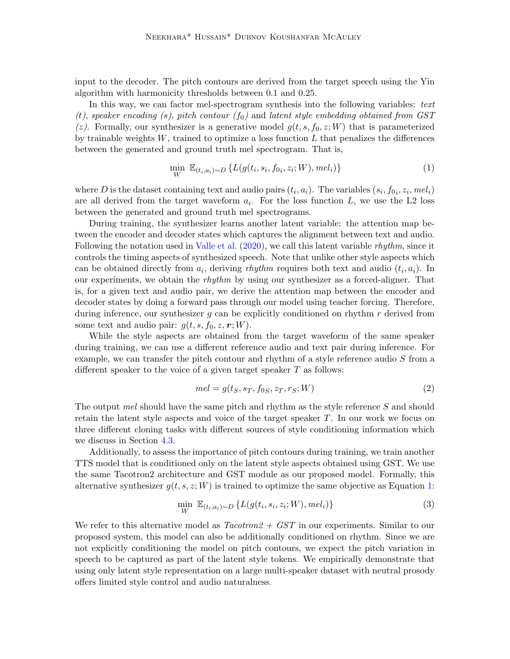input to the decoder. The pitch contours are derived from the target speech using the Yin algorithm with harmonicity thresholds between 0.1 and 0.25.

In this way, we can factor mel-spectrogram synthesis into the following variables: text (t), speaker encoding (s), pitch contour  $(f_0)$  and latent style embedding obtained from GST (z). Formally, our synthesizer is a generative model  $g(t, s, f_0, z; W)$  that is parameterized by trainable weights  $W$ , trained to optimize a loss function  $L$  that penalizes the differences between the generated and ground truth mel spectrogram. That is,

<span id="page-5-0"></span>
$$
\min_{W} \mathbb{E}_{(t_i, a_i) \sim D} \{ L(g(t_i, s_i, f_{0i}, z_i; W), m \in I_i) \}
$$
\n(1)

where D is the dataset containing text and audio pairs  $(t_i, a_i)$ . The variables  $(s_i, f_{0i}, z_i, \text{mel}_i)$ are all derived from the target waveform  $a_i$ . For the loss function L, we use the L2 loss between the generated and ground truth mel spectrograms.

During training, the synthesizer learns another latent variable: the attention map between the encoder and decoder states which captures the alignment between text and audio. Following the notation used in [Valle et al.](#page-14-2)  $(2020)$ , we call this latent variable *rhythm*, since it controls the timing aspects of synthesized speech. Note that unlike other style aspects which can be obtained directly from  $a_i$ , deriving rhythm requires both text and audio  $(t_i, a_i)$ . In our experiments, we obtain the *rhythm* by using our synthesizer as a forced-aligner. That is, for a given text and audio pair, we derive the attention map between the encoder and decoder states by doing a forward pass through our model using teacher forcing. Therefore, during inference, our synthesizer  $g$  can be explicitly conditioned on rhythm  $r$  derived from some text and audio pair:  $g(t, s, f_0, z, r; W)$ .

While the style aspects are obtained from the target waveform of the same speaker during training, we can use a different reference audio and text pair during inference. For example, we can transfer the pitch contour and rhythm of a style reference audio S from a different speaker to the voice of a given target speaker  $T$  as follows:

$$
mel = g(t_S, s_T, f_{0S}, z_T, r_S; W)
$$
\n<sup>(2)</sup>

The output *mel* should have the same pitch and rhythm as the style reference S and should retain the latent style aspects and voice of the target speaker T. In our work we focus on three different cloning tasks with different sources of style conditioning information which we discuss in Section [4.3.](#page-8-0)

Additionally, to assess the importance of pitch contours during training, we train another TTS model that is conditioned only on the latent style aspects obtained using GST. We use the same Tacotron2 architecture and GST module as our proposed model. Formally, this alternative synthesizer  $g(t, s, z; W)$  is trained to optimize the same objective as Equation [1:](#page-5-0)

$$
\min_{W} \mathbb{E}_{(t_i, a_i) \sim D} \left\{ L(g(t_i, s_i, z_i; W), m \in I_i) \right\} \tag{3}
$$

We refer to this alternative model as  $Tacotron2 + GST$  in our experiments. Similar to our proposed system, this model can also be additionally conditioned on rhythm. Since we are not explicitly conditioning the model on pitch contours, we expect the pitch variation in speech to be captured as part of the latent style tokens. We empirically demonstrate that using only latent style representation on a large multi-speaker dataset with neutral prosody offers limited style control and audio naturalness.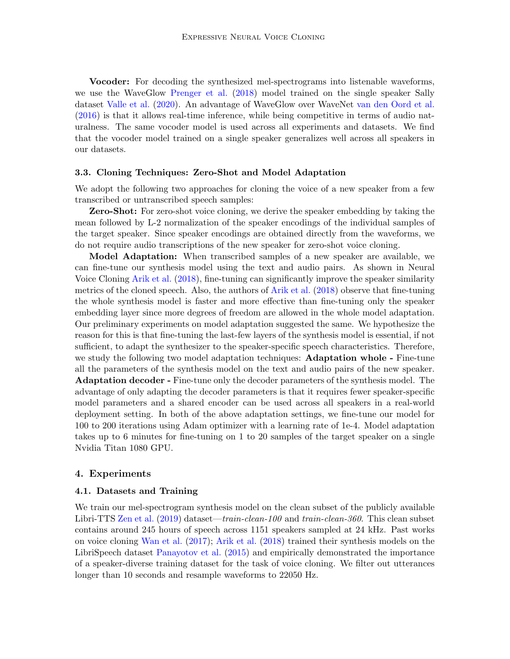Vocoder: For decoding the synthesized mel-spectrograms into listenable waveforms, we use the WaveGlow [Prenger et al.](#page-14-6) [\(2018\)](#page-14-6) model trained on the single speaker Sally dataset [Valle et al.](#page-14-2) [\(2020\)](#page-14-2). An advantage of WaveGlow over WaveNet [van den Oord et al.](#page-14-5) [\(2016\)](#page-14-5) is that it allows real-time inference, while being competitive in terms of audio naturalness. The same vocoder model is used across all experiments and datasets. We find that the vocoder model trained on a single speaker generalizes well across all speakers in our datasets.

#### 3.3. Cloning Techniques: Zero-Shot and Model Adaptation

We adopt the following two approaches for cloning the voice of a new speaker from a few transcribed or untranscribed speech samples:

Zero-Shot: For zero-shot voice cloning, we derive the speaker embedding by taking the mean followed by L-2 normalization of the speaker encodings of the individual samples of the target speaker. Since speaker encodings are obtained directly from the waveforms, we do not require audio transcriptions of the new speaker for zero-shot voice cloning.

Model Adaptation: When transcribed samples of a new speaker are available, we can fine-tune our synthesis model using the text and audio pairs. As shown in Neural Voice Cloning [Arik et al.](#page-13-0) [\(2018\)](#page-13-0), fine-tuning can significantly improve the speaker similarity metrics of the cloned speech. Also, the authors of [Arik et al.](#page-13-0) [\(2018\)](#page-13-0) observe that fine-tuning the whole synthesis model is faster and more effective than fine-tuning only the speaker embedding layer since more degrees of freedom are allowed in the whole model adaptation. Our preliminary experiments on model adaptation suggested the same. We hypothesize the reason for this is that fine-tuning the last-few layers of the synthesis model is essential, if not sufficient, to adapt the synthesizer to the speaker-specific speech characteristics. Therefore, we study the following two model adaptation techniques: **Adaptation whole -** Fine-tune all the parameters of the synthesis model on the text and audio pairs of the new speaker. Adaptation decoder - Fine-tune only the decoder parameters of the synthesis model. The advantage of only adapting the decoder parameters is that it requires fewer speaker-specific model parameters and a shared encoder can be used across all speakers in a real-world deployment setting. In both of the above adaptation settings, we fine-tune our model for 100 to 200 iterations using Adam optimizer with a learning rate of 1e-4. Model adaptation takes up to 6 minutes for fine-tuning on 1 to 20 samples of the target speaker on a single Nvidia Titan 1080 GPU.

## 4. Experiments

#### 4.1. Datasets and Training

We train our mel-spectrogram synthesis model on the clean subset of the publicly available Libri-TTS [Zen et al.](#page-15-2) [\(2019\)](#page-15-2) dataset—train-clean-100 and train-clean-360. This clean subset contains around 245 hours of speech across 1151 speakers sampled at 24 kHz. Past works on voice cloning [Wan et al.](#page-14-9) [\(2017\)](#page-14-9); [Arik et al.](#page-13-0) [\(2018\)](#page-13-0) trained their synthesis models on the LibriSpeech dataset [Panayotov et al.](#page-14-11) [\(2015\)](#page-14-11) and empirically demonstrated the importance of a speaker-diverse training dataset for the task of voice cloning. We filter out utterances longer than 10 seconds and resample waveforms to 22050 Hz.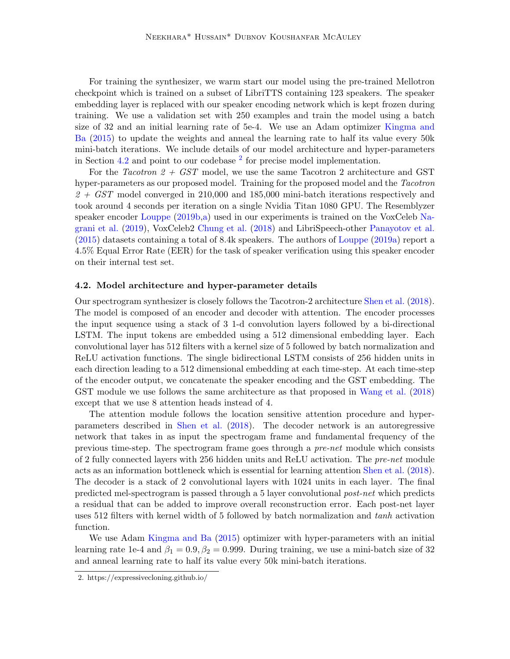For training the synthesizer, we warm start our model using the pre-trained Mellotron checkpoint which is trained on a subset of LibriTTS containing 123 speakers. The speaker embedding layer is replaced with our speaker encoding network which is kept frozen during training. We use a validation set with 250 examples and train the model using a batch size of 32 and an initial learning rate of 5e-4. We use an Adam optimizer [Kingma and](#page-13-8) [Ba](#page-13-8) [\(2015\)](#page-13-8) to update the weights and anneal the learning rate to half its value every 50k mini-batch iterations. We include details of our model architecture and hyper-parameters in Section [4.2](#page-7-0) and point to our codebase  $2$  for precise model implementation.

For the Tacotron  $2 + GST$  model, we use the same Tacotron 2 architecture and GST hyper-parameters as our proposed model. Training for the proposed model and the Tacotron  $2 + GST$  model converged in 210,000 and 185,000 mini-batch iterations respectively and took around 4 seconds per iteration on a single Nvidia Titan 1080 GPU. The Resemblyzer speaker encoder [Louppe](#page-14-10) [\(2019b,](#page-14-10)[a\)](#page-13-9) used in our experiments is trained on the VoxCeleb [Na](#page-14-12)[grani et al.](#page-14-12) [\(2019\)](#page-14-12), VoxCeleb2 [Chung et al.](#page-13-10) [\(2018\)](#page-13-10) and LibriSpeech-other [Panayotov et al.](#page-14-11) [\(2015\)](#page-14-11) datasets containing a total of 8.4k speakers. The authors of [Louppe](#page-13-9) [\(2019a\)](#page-13-9) report a 4.5% Equal Error Rate (EER) for the task of speaker verification using this speaker encoder on their internal test set.

#### <span id="page-7-0"></span>4.2. Model architecture and hyper-parameter details

Our spectrogram synthesizer is closely follows the Tacotron-2 architecture [Shen et al.](#page-14-4) [\(2018\)](#page-14-4). The model is composed of an encoder and decoder with attention. The encoder processes the input sequence using a stack of 3 1-d convolution layers followed by a bi-directional LSTM. The input tokens are embedded using a 512 dimensional embedding layer. Each convolutional layer has 512 filters with a kernel size of 5 followed by batch normalization and ReLU activation functions. The single bidirectional LSTM consists of 256 hidden units in each direction leading to a 512 dimensional embedding at each time-step. At each time-step of the encoder output, we concatenate the speaker encoding and the GST embedding. The GST module we use follows the same architecture as that proposed in [Wang et al.](#page-15-0) [\(2018\)](#page-15-0) except that we use 8 attention heads instead of 4.

The attention module follows the location sensitive attention procedure and hyperparameters described in [Shen et al.](#page-14-4) [\(2018\)](#page-14-4). The decoder network is an autoregressive network that takes in as input the spectrogam frame and fundamental frequency of the previous time-step. The spectrogram frame goes through a pre-net module which consists of 2 fully connected layers with 256 hidden units and ReLU activation. The pre-net module acts as an information bottleneck which is essential for learning attention [Shen et al.](#page-14-4) [\(2018\)](#page-14-4). The decoder is a stack of 2 convolutional layers with 1024 units in each layer. The final predicted mel-spectrogram is passed through a 5 layer convolutional post-net which predicts a residual that can be added to improve overall reconstruction error. Each post-net layer uses 512 filters with kernel width of 5 followed by batch normalization and tanh activation function.

We use Adam [Kingma and Ba](#page-13-8) [\(2015\)](#page-13-8) optimizer with hyper-parameters with an initial learning rate 1e-4 and  $\beta_1 = 0.9$ ,  $\beta_2 = 0.999$ . During training, we use a mini-batch size of 32 and anneal learning rate to half its value every 50k mini-batch iterations.

<span id="page-7-1"></span><sup>2.</sup> https://expressivecloning.github.io/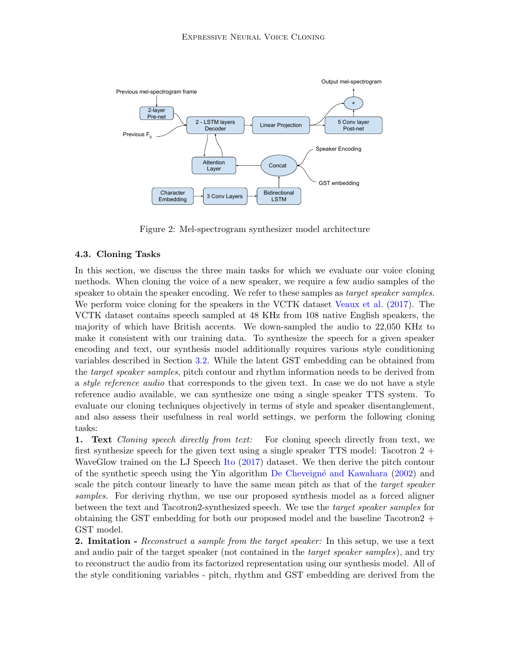

Figure 2: Mel-spectrogram synthesizer model architecture

## <span id="page-8-0"></span>4.3. Cloning Tasks

In this section, we discuss the three main tasks for which we evaluate our voice cloning methods. When cloning the voice of a new speaker, we require a few audio samples of the speaker to obtain the speaker encoding. We refer to these samples as *target speaker samples*. We perform voice cloning for the speakers in the VCTK dataset [Veaux et al.](#page-14-13) [\(2017\)](#page-14-13). The VCTK dataset contains speech sampled at 48 KHz from 108 native English speakers, the majority of which have British accents. We down-sampled the audio to 22,050 KHz to make it consistent with our training data. To synthesize the speech for a given speaker encoding and text, our synthesis model additionally requires various style conditioning variables described in Section [3.2.](#page-4-1) While the latent GST embedding can be obtained from the *target speaker samples*, pitch contour and rhythm information needs to be derived from a style reference audio that corresponds to the given text. In case we do not have a style reference audio available, we can synthesize one using a single speaker TTS system. To evaluate our cloning techniques objectively in terms of style and speaker disentanglement, and also assess their usefulness in real world settings, we perform the following cloning tasks:

1. Text Cloning speech directly from text: For cloning speech directly from text, we first synthesize speech for the given text using a single speaker TTS model: Tacotron  $2 +$ WaveGlow trained on the LJ Speech [Ito](#page-13-11) [\(2017\)](#page-13-11) dataset. We then derive the pitch contour of the synthetic speech using the Yin algorithm [De Cheveign´e and Kawahara](#page-13-7) [\(2002\)](#page-13-7) and scale the pitch contour linearly to have the same mean pitch as that of the *target speaker* samples. For deriving rhythm, we use our proposed synthesis model as a forced aligner between the text and Tacotron2-synthesized speech. We use the target speaker samples for obtaining the GST embedding for both our proposed model and the baseline Tacotron  $2 +$ GST model.

**2. Imitation -** Reconstruct a sample from the target speaker: In this setup, we use a text and audio pair of the target speaker (not contained in the target speaker samples), and try to reconstruct the audio from its factorized representation using our synthesis model. All of the style conditioning variables - pitch, rhythm and GST embedding are derived from the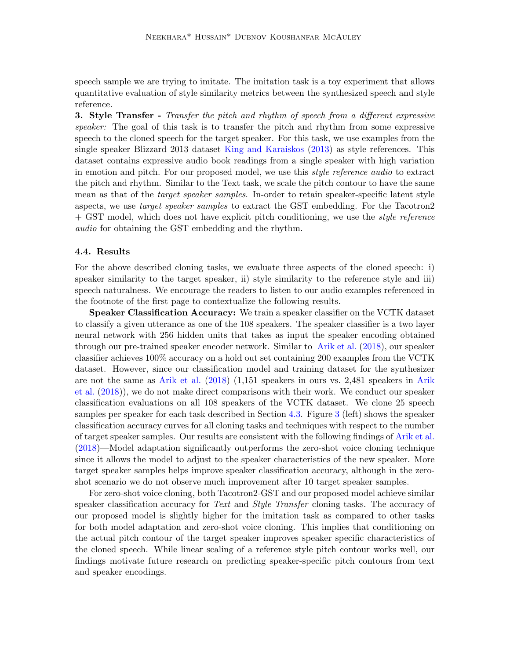speech sample we are trying to imitate. The imitation task is a toy experiment that allows quantitative evaluation of style similarity metrics between the synthesized speech and style reference.

**3.** Style Transfer - Transfer the pitch and rhythm of speech from a different expressive speaker: The goal of this task is to transfer the pitch and rhythm from some expressive speech to the cloned speech for the target speaker. For this task, we use examples from the single speaker Blizzard 2013 dataset [King and Karaiskos](#page-13-12) [\(2013\)](#page-13-12) as style references. This dataset contains expressive audio book readings from a single speaker with high variation in emotion and pitch. For our proposed model, we use this style reference audio to extract the pitch and rhythm. Similar to the Text task, we scale the pitch contour to have the same mean as that of the *target speaker samples*. In-order to retain speaker-specific latent style aspects, we use *target speaker samples* to extract the GST embedding. For the Tacotron2 + GST model, which does not have explicit pitch conditioning, we use the *style reference* audio for obtaining the GST embedding and the rhythm.

### 4.4. Results

For the above described cloning tasks, we evaluate three aspects of the cloned speech: i) speaker similarity to the target speaker, ii) style similarity to the reference style and iii) speech naturalness. We encourage the readers to listen to our audio examples referenced in the footnote of the first page to contextualize the following results.

Speaker Classification Accuracy: We train a speaker classifier on the VCTK dataset to classify a given utterance as one of the 108 speakers. The speaker classifier is a two layer neural network with 256 hidden units that takes as input the speaker encoding obtained through our pre-trained speaker encoder network. Similar to [Arik et al.](#page-13-0) [\(2018\)](#page-13-0), our speaker classifier achieves 100% accuracy on a hold out set containing 200 examples from the VCTK dataset. However, since our classification model and training dataset for the synthesizer are not the same as [Arik et al.](#page-13-0) [\(2018\)](#page-13-0) (1,151 speakers in ours vs. 2,481 speakers in [Arik](#page-13-0) [et al.](#page-13-0) [\(2018\)](#page-13-0)), we do not make direct comparisons with their work. We conduct our speaker classification evaluations on all 108 speakers of the VCTK dataset. We clone 25 speech samples per speaker for each task described in Section [4.3.](#page-8-0) Figure [3](#page-10-0) (left) shows the speaker classification accuracy curves for all cloning tasks and techniques with respect to the number of target speaker samples. Our results are consistent with the following findings of [Arik et al.](#page-13-0) [\(2018\)](#page-13-0)—Model adaptation significantly outperforms the zero-shot voice cloning technique since it allows the model to adjust to the speaker characteristics of the new speaker. More target speaker samples helps improve speaker classification accuracy, although in the zeroshot scenario we do not observe much improvement after 10 target speaker samples.

For zero-shot voice cloning, both Tacotron2-GST and our proposed model achieve similar speaker classification accuracy for Text and Style Transfer cloning tasks. The accuracy of our proposed model is slightly higher for the imitation task as compared to other tasks for both model adaptation and zero-shot voice cloning. This implies that conditioning on the actual pitch contour of the target speaker improves speaker specific characteristics of the cloned speech. While linear scaling of a reference style pitch contour works well, our findings motivate future research on predicting speaker-specific pitch contours from text and speaker encodings.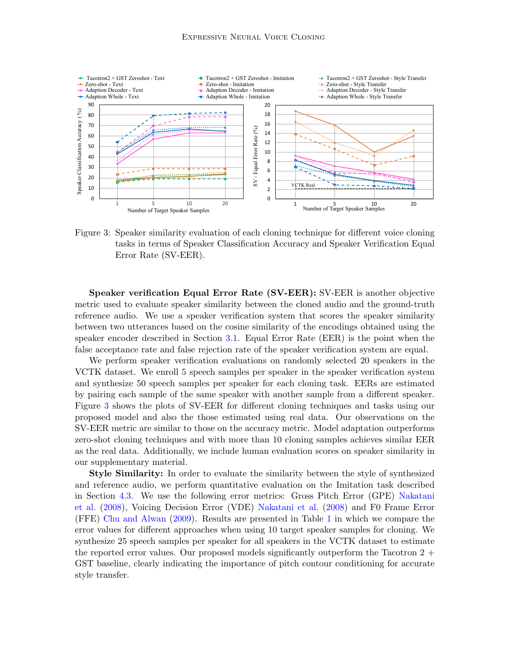

<span id="page-10-0"></span>Figure 3: Speaker similarity evaluation of each cloning technique for different voice cloning tasks in terms of Speaker Classification Accuracy and Speaker Verification Equal Error Rate (SV-EER).

Speaker verification Equal Error Rate (SV-EER): SV-EER is another objective metric used to evaluate speaker similarity between the cloned audio and the ground-truth reference audio. We use a speaker verification system that scores the speaker similarity between two utterances based on the cosine similarity of the encodings obtained using the speaker encoder described in Section [3.1.](#page-3-0) Equal Error Rate (EER) is the point when the false acceptance rate and false rejection rate of the speaker verification system are equal.

We perform speaker verification evaluations on randomly selected 20 speakers in the VCTK dataset. We enroll 5 speech samples per speaker in the speaker verification system and synthesize 50 speech samples per speaker for each cloning task. EERs are estimated by pairing each sample of the same speaker with another sample from a different speaker. Figure [3](#page-10-0) shows the plots of SV-EER for different cloning techniques and tasks using our proposed model and also the those estimated using real data. Our observations on the SV-EER metric are similar to those on the accuracy metric. Model adaptation outperforms zero-shot cloning techniques and with more than 10 cloning samples achieves similar EER as the real data. Additionally, we include human evaluation scores on speaker similarity in our supplementary material.

Style Similarity: In order to evaluate the similarity between the style of synthesized and reference audio, we perform quantitative evaluation on the Imitation task described in Section [4.3.](#page-8-0) We use the following error metrics: Gross Pitch Error (GPE) [Nakatani](#page-14-14) [et al.](#page-14-14) [\(2008\)](#page-14-14), Voicing Decision Error (VDE) [Nakatani et al.](#page-14-14) [\(2008\)](#page-14-14) and F0 Frame Error (FFE) [Chu and Alwan](#page-13-13) [\(2009\)](#page-13-13). Results are presented in Table [1](#page-11-0) in which we compare the error values for different approaches when using 10 target speaker samples for cloning. We synthesize 25 speech samples per speaker for all speakers in the VCTK dataset to estimate the reported error values. Our proposed models significantly outperform the Tacotron  $2 +$ GST baseline, clearly indicating the importance of pitch contour conditioning for accurate style transfer.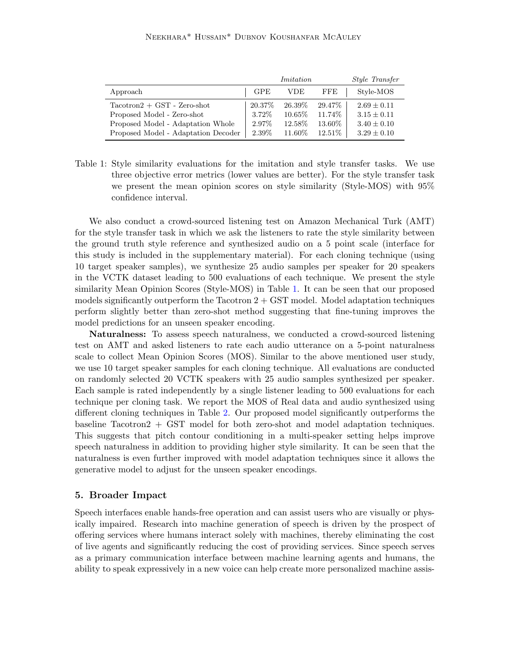|                                     | Imitation |         |            | <i>Style Transfer</i> |
|-------------------------------------|-----------|---------|------------|-----------------------|
| Approach                            | GPE       | VDE     | <b>FFE</b> | Style-MOS             |
| $Tactor0 + GST - Zero-shot$         | 20.37\%   | 26.39\% | 29.47\%    | $2.69 \pm 0.11$       |
| Proposed Model - Zero-shot          | 3.72\%    | 10.65\% | 11.74\%    | $3.15 \pm 0.11$       |
| Proposed Model - Adaptation Whole   | 2.97%     | 12.58\% | 13.60%     | $3.40 \pm 0.10$       |
| Proposed Model - Adaptation Decoder | 2.39%     | 11.60\% | 12.51\%    | $3.29 \pm 0.10$       |

<span id="page-11-0"></span>Table 1: Style similarity evaluations for the imitation and style transfer tasks. We use three objective error metrics (lower values are better). For the style transfer task we present the mean opinion scores on style similarity (Style-MOS) with 95% confidence interval.

We also conduct a crowd-sourced listening test on Amazon Mechanical Turk (AMT) for the style transfer task in which we ask the listeners to rate the style similarity between the ground truth style reference and synthesized audio on a 5 point scale (interface for this study is included in the supplementary material). For each cloning technique (using 10 target speaker samples), we synthesize 25 audio samples per speaker for 20 speakers in the VCTK dataset leading to 500 evaluations of each technique. We present the style similarity Mean Opinion Scores (Style-MOS) in Table [1.](#page-11-0) It can be seen that our proposed models significantly outperform the Tacotron  $2 + \text{GST model}$ . Model adaptation techniques perform slightly better than zero-shot method suggesting that fine-tuning improves the model predictions for an unseen speaker encoding.

Naturalness: To assess speech naturalness, we conducted a crowd-sourced listening test on AMT and asked listeners to rate each audio utterance on a 5-point naturalness scale to collect Mean Opinion Scores (MOS). Similar to the above mentioned user study, we use 10 target speaker samples for each cloning technique. All evaluations are conducted on randomly selected 20 VCTK speakers with 25 audio samples synthesized per speaker. Each sample is rated independently by a single listener leading to 500 evaluations for each technique per cloning task. We report the MOS of Real data and audio synthesized using different cloning techniques in Table [2.](#page-12-0) Our proposed model significantly outperforms the baseline Tacotron2 + GST model for both zero-shot and model adaptation techniques. This suggests that pitch contour conditioning in a multi-speaker setting helps improve speech naturalness in addition to providing higher style similarity. It can be seen that the naturalness is even further improved with model adaptation techniques since it allows the generative model to adjust for the unseen speaker encodings.

## 5. Broader Impact

Speech interfaces enable hands-free operation and can assist users who are visually or physically impaired. Research into machine generation of speech is driven by the prospect of offering services where humans interact solely with machines, thereby eliminating the cost of live agents and significantly reducing the cost of providing services. Since speech serves as a primary communication interface between machine learning agents and humans, the ability to speak expressively in a new voice can help create more personalized machine assis-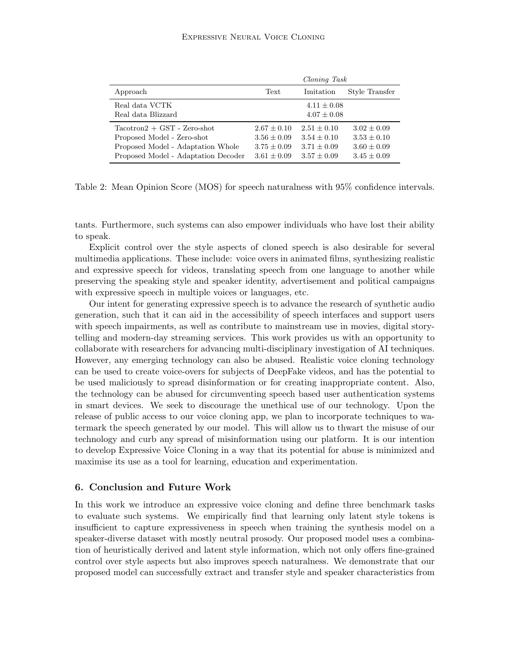|                                                                                                                                       | Cloning Task                                                             |                                                                    |                                                                      |  |
|---------------------------------------------------------------------------------------------------------------------------------------|--------------------------------------------------------------------------|--------------------------------------------------------------------|----------------------------------------------------------------------|--|
| Approach                                                                                                                              | Text                                                                     | Imitation                                                          | Style Transfer                                                       |  |
| Real data VCTK<br>Real data Blizzard                                                                                                  |                                                                          | $4.11 \pm 0.08$<br>$4.07 \pm 0.08$                                 |                                                                      |  |
| $Tactor1 + GST - Zero-shot$<br>Proposed Model - Zero-shot<br>Proposed Model - Adaptation Whole<br>Proposed Model - Adaptation Decoder | $2.67 \pm 0.10$<br>$3.56 \pm 0.09$<br>$3.75 \pm 0.09$<br>$3.61 \pm 0.09$ | $2.51 + 0.10$<br>$3.54 + 0.10$<br>$3.71 + 0.09$<br>$3.57 \pm 0.09$ | $3.02 + 0.09$<br>$3.53 + 0.10$<br>$3.60 \pm 0.09$<br>$3.45 \pm 0.09$ |  |

<span id="page-12-0"></span>Table 2: Mean Opinion Score (MOS) for speech naturalness with 95% confidence intervals.

tants. Furthermore, such systems can also empower individuals who have lost their ability to speak.

Explicit control over the style aspects of cloned speech is also desirable for several multimedia applications. These include: voice overs in animated films, synthesizing realistic and expressive speech for videos, translating speech from one language to another while preserving the speaking style and speaker identity, advertisement and political campaigns with expressive speech in multiple voices or languages, etc.

Our intent for generating expressive speech is to advance the research of synthetic audio generation, such that it can aid in the accessibility of speech interfaces and support users with speech impairments, as well as contribute to mainstream use in movies, digital storytelling and modern-day streaming services. This work provides us with an opportunity to collaborate with researchers for advancing multi-disciplinary investigation of AI techniques. However, any emerging technology can also be abused. Realistic voice cloning technology can be used to create voice-overs for subjects of DeepFake videos, and has the potential to be used maliciously to spread disinformation or for creating inappropriate content. Also, the technology can be abused for circumventing speech based user authentication systems in smart devices. We seek to discourage the unethical use of our technology. Upon the release of public access to our voice cloning app, we plan to incorporate techniques to watermark the speech generated by our model. This will allow us to thwart the misuse of our technology and curb any spread of misinformation using our platform. It is our intention to develop Expressive Voice Cloning in a way that its potential for abuse is minimized and maximise its use as a tool for learning, education and experimentation.

# 6. Conclusion and Future Work

In this work we introduce an expressive voice cloning and define three benchmark tasks to evaluate such systems. We empirically find that learning only latent style tokens is insufficient to capture expressiveness in speech when training the synthesis model on a speaker-diverse dataset with mostly neutral prosody. Our proposed model uses a combination of heuristically derived and latent style information, which not only offers fine-grained control over style aspects but also improves speech naturalness. We demonstrate that our proposed model can successfully extract and transfer style and speaker characteristics from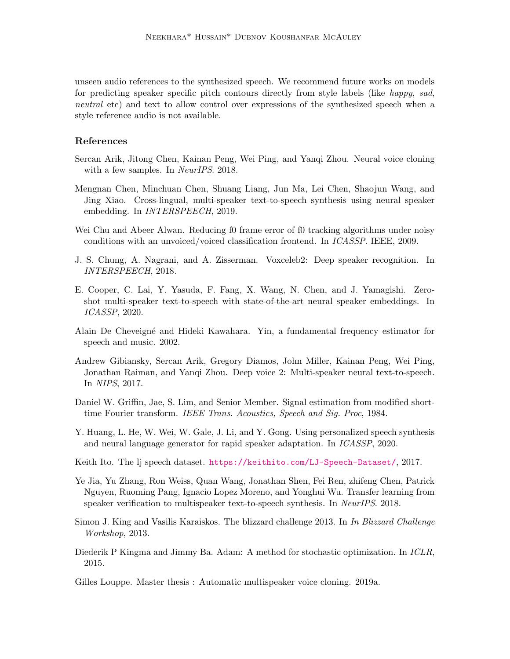unseen audio references to the synthesized speech. We recommend future works on models for predicting speaker specific pitch contours directly from style labels (like happy, sad, neutral etc) and text to allow control over expressions of the synthesized speech when a style reference audio is not available.

## References

- <span id="page-13-0"></span>Sercan Arik, Jitong Chen, Kainan Peng, Wei Ping, and Yanqi Zhou. Neural voice cloning with a few samples. In NeurIPS. 2018.
- <span id="page-13-4"></span>Mengnan Chen, Minchuan Chen, Shuang Liang, Jun Ma, Lei Chen, Shaojun Wang, and Jing Xiao. Cross-lingual, multi-speaker text-to-speech synthesis using neural speaker embedding. In INTERSPEECH, 2019.
- <span id="page-13-13"></span>Wei Chu and Abeer Alwan. Reducing f0 frame error of f0 tracking algorithms under noisy conditions with an unvoiced/voiced classification frontend. In ICASSP. IEEE, 2009.
- <span id="page-13-10"></span>J. S. Chung, A. Nagrani, and A. Zisserman. Voxceleb2: Deep speaker recognition. In INTERSPEECH, 2018.
- <span id="page-13-5"></span>E. Cooper, C. Lai, Y. Yasuda, F. Fang, X. Wang, N. Chen, and J. Yamagishi. Zeroshot multi-speaker text-to-speech with state-of-the-art neural speaker embeddings. In ICASSP, 2020.
- <span id="page-13-7"></span>Alain De Cheveign´e and Hideki Kawahara. Yin, a fundamental frequency estimator for speech and music. 2002.
- <span id="page-13-3"></span>Andrew Gibiansky, Sercan Arik, Gregory Diamos, John Miller, Kainan Peng, Wei Ping, Jonathan Raiman, and Yanqi Zhou. Deep voice 2: Multi-speaker neural text-to-speech. In NIPS, 2017.
- <span id="page-13-2"></span>Daniel W. Griffin, Jae, S. Lim, and Senior Member. Signal estimation from modified shorttime Fourier transform. IEEE Trans. Acoustics, Speech and Sig. Proc, 1984.
- <span id="page-13-6"></span>Y. Huang, L. He, W. Wei, W. Gale, J. Li, and Y. Gong. Using personalized speech synthesis and neural language generator for rapid speaker adaptation. In ICASSP, 2020.
- <span id="page-13-11"></span>Keith Ito. The lj speech dataset. <https://keithito.com/LJ-Speech-Dataset/>, 2017.
- <span id="page-13-1"></span>Ye Jia, Yu Zhang, Ron Weiss, Quan Wang, Jonathan Shen, Fei Ren, zhifeng Chen, Patrick Nguyen, Ruoming Pang, Ignacio Lopez Moreno, and Yonghui Wu. Transfer learning from speaker verification to multispeaker text-to-speech synthesis. In NeurIPS. 2018.
- <span id="page-13-12"></span>Simon J. King and Vasilis Karaiskos. The blizzard challenge 2013. In In Blizzard Challenge Workshop, 2013.
- <span id="page-13-8"></span>Diederik P Kingma and Jimmy Ba. Adam: A method for stochastic optimization. In ICLR, 2015.
- <span id="page-13-9"></span>Gilles Louppe. Master thesis : Automatic multispeaker voice cloning. 2019a.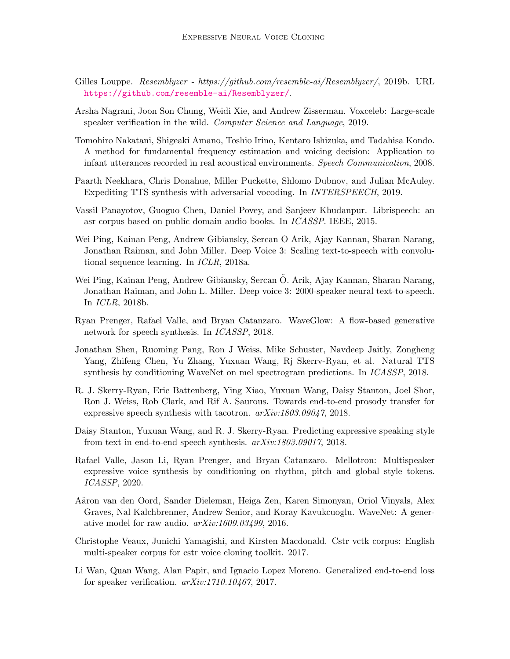- <span id="page-14-10"></span>Gilles Louppe. Resemblyzer - https://github.com/resemble-ai/Resemblyzer/, 2019b. URL <https://github.com/resemble-ai/Resemblyzer/>.
- <span id="page-14-12"></span>Arsha Nagrani, Joon Son Chung, Weidi Xie, and Andrew Zisserman. Voxceleb: Large-scale speaker verification in the wild. Computer Science and Language, 2019.
- <span id="page-14-14"></span>Tomohiro Nakatani, Shigeaki Amano, Toshio Irino, Kentaro Ishizuka, and Tadahisa Kondo. A method for fundamental frequency estimation and voicing decision: Application to infant utterances recorded in real acoustical environments. Speech Communication, 2008.
- <span id="page-14-7"></span>Paarth Neekhara, Chris Donahue, Miller Puckette, Shlomo Dubnov, and Julian McAuley. Expediting TTS synthesis with adversarial vocoding. In INTERSPEECH, 2019.
- <span id="page-14-11"></span>Vassil Panayotov, Guoguo Chen, Daniel Povey, and Sanjeev Khudanpur. Librispeech: an asr corpus based on public domain audio books. In ICASSP. IEEE, 2015.
- <span id="page-14-3"></span>Wei Ping, Kainan Peng, Andrew Gibiansky, Sercan O Arik, Ajay Kannan, Sharan Narang, Jonathan Raiman, and John Miller. Deep Voice 3: Scaling text-to-speech with convolutional sequence learning. In ICLR, 2018a.
- <span id="page-14-8"></span>Wei Ping, Kainan Peng, Andrew Gibiansky, Sercan O. Arik, Ajay Kannan, Sharan Narang, ¨ Jonathan Raiman, and John L. Miller. Deep voice 3: 2000-speaker neural text-to-speech. In ICLR, 2018b.
- <span id="page-14-6"></span>Ryan Prenger, Rafael Valle, and Bryan Catanzaro. WaveGlow: A flow-based generative network for speech synthesis. In ICASSP, 2018.
- <span id="page-14-4"></span>Jonathan Shen, Ruoming Pang, Ron J Weiss, Mike Schuster, Navdeep Jaitly, Zongheng Yang, Zhifeng Chen, Yu Zhang, Yuxuan Wang, Rj Skerrv-Ryan, et al. Natural TTS synthesis by conditioning WaveNet on mel spectrogram predictions. In ICASSP, 2018.
- <span id="page-14-0"></span>R. J. Skerry-Ryan, Eric Battenberg, Ying Xiao, Yuxuan Wang, Daisy Stanton, Joel Shor, Ron J. Weiss, Rob Clark, and Rif A. Saurous. Towards end-to-end prosody transfer for expressive speech synthesis with tacotron. arXiv:1803.09047, 2018.
- <span id="page-14-1"></span>Daisy Stanton, Yuxuan Wang, and R. J. Skerry-Ryan. Predicting expressive speaking style from text in end-to-end speech synthesis. arXiv:1803.09017, 2018.
- <span id="page-14-2"></span>Rafael Valle, Jason Li, Ryan Prenger, and Bryan Catanzaro. Mellotron: Multispeaker expressive voice synthesis by conditioning on rhythm, pitch and global style tokens. ICASSP, 2020.
- <span id="page-14-5"></span>A¨aron van den Oord, Sander Dieleman, Heiga Zen, Karen Simonyan, Oriol Vinyals, Alex Graves, Nal Kalchbrenner, Andrew Senior, and Koray Kavukcuoglu. WaveNet: A generative model for raw audio. arXiv:1609.03499, 2016.
- <span id="page-14-13"></span>Christophe Veaux, Junichi Yamagishi, and Kirsten Macdonald. Cstr vctk corpus: English multi-speaker corpus for cstr voice cloning toolkit. 2017.
- <span id="page-14-9"></span>Li Wan, Quan Wang, Alan Papir, and Ignacio Lopez Moreno. Generalized end-to-end loss for speaker verification.  $arXiv:1710.10467$ , 2017.